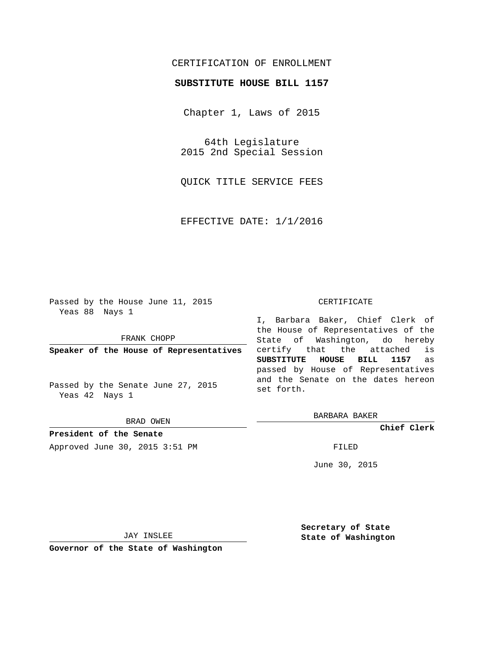## CERTIFICATION OF ENROLLMENT

## **SUBSTITUTE HOUSE BILL 1157**

Chapter 1, Laws of 2015

64th Legislature 2015 2nd Special Session

QUICK TITLE SERVICE FEES

EFFECTIVE DATE: 1/1/2016

Passed by the House June 11, 2015 Yeas 88 Nays 1

FRANK CHOPP

**Speaker of the House of Representatives**

Passed by the Senate June 27, 2015 Yeas 42 Nays 1

BRAD OWEN

**President of the Senate** Approved June 30, 2015 3:51 PM FILED

## CERTIFICATE

I, Barbara Baker, Chief Clerk of the House of Representatives of the State of Washington, do hereby certify that the attached is **SUBSTITUTE HOUSE BILL 1157** as passed by House of Representatives and the Senate on the dates hereon set forth.

BARBARA BAKER

**Chief Clerk**

June 30, 2015

JAY INSLEE

**Governor of the State of Washington**

**Secretary of State State of Washington**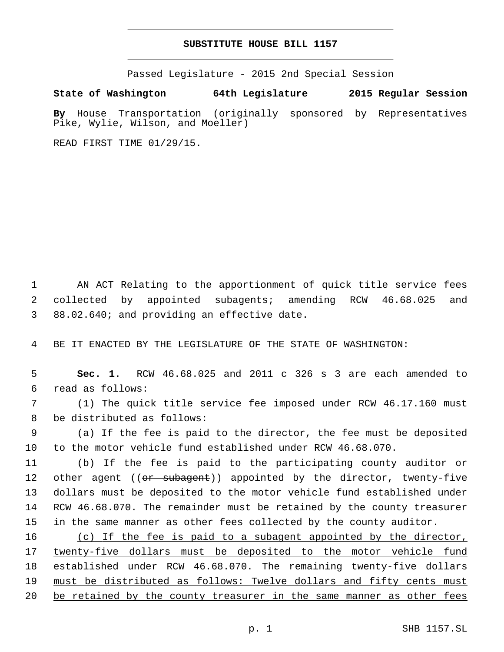## **SUBSTITUTE HOUSE BILL 1157**

Passed Legislature - 2015 2nd Special Session

**State of Washington 64th Legislature 2015 Regular Session**

**By** House Transportation (originally sponsored by Representatives Pike, Wylie, Wilson, and Moeller)

READ FIRST TIME 01/29/15.

1 AN ACT Relating to the apportionment of quick title service fees 2 collected by appointed subagents; amending RCW 46.68.025 and 3 88.02.640; and providing an effective date.

4 BE IT ENACTED BY THE LEGISLATURE OF THE STATE OF WASHINGTON:

5 **Sec. 1.** RCW 46.68.025 and 2011 c 326 s 3 are each amended to read as follows:6

7 (1) The quick title service fee imposed under RCW 46.17.160 must 8 be distributed as follows:

9 (a) If the fee is paid to the director, the fee must be deposited 10 to the motor vehicle fund established under RCW 46.68.070.

 (b) If the fee is paid to the participating county auditor or 12 other agent ((<del>or subagent</del>)) appointed by the director, twenty-five dollars must be deposited to the motor vehicle fund established under RCW 46.68.070. The remainder must be retained by the county treasurer in the same manner as other fees collected by the county auditor.

16 (c) If the fee is paid to a subagent appointed by the director, 17 twenty-five dollars must be deposited to the motor vehicle fund 18 established under RCW 46.68.070. The remaining twenty-five dollars 19 must be distributed as follows: Twelve dollars and fifty cents must 20 be retained by the county treasurer in the same manner as other fees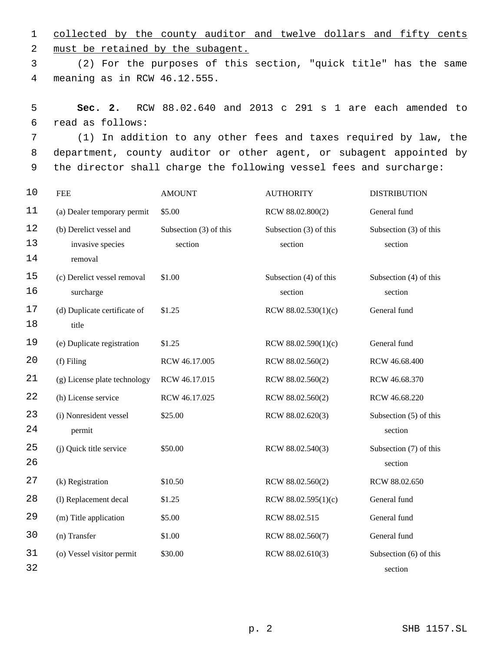1 collected by the county auditor and twelve dollars and fifty cents 2 must be retained by the subagent.

3 (2) For the purposes of this section, "quick title" has the same meaning as in RCW 46.12.555.4

5 **Sec. 2.** RCW 88.02.640 and 2013 c 291 s 1 are each amended to read as follows:6

7 (1) In addition to any other fees and taxes required by law, the 8 department, county auditor or other agent, or subagent appointed by 9 the director shall charge the following vessel fees and surcharge:

| 10       | <b>FEE</b>                                  | <b>AMOUNT</b>                     | <b>AUTHORITY</b>                  | <b>DISTRIBUTION</b>               |
|----------|---------------------------------------------|-----------------------------------|-----------------------------------|-----------------------------------|
| 11       | (a) Dealer temporary permit                 | \$5.00                            | RCW 88.02.800(2)                  | General fund                      |
| 12<br>13 | (b) Derelict vessel and<br>invasive species | Subsection (3) of this<br>section | Subsection (3) of this<br>section | Subsection (3) of this<br>section |
| 14       | removal                                     |                                   |                                   |                                   |
| 15<br>16 | (c) Derelict vessel removal<br>surcharge    | \$1.00                            | Subsection (4) of this<br>section | Subsection (4) of this<br>section |
| 17<br>18 | (d) Duplicate certificate of<br>title       | \$1.25                            | RCW $88.02.530(1)(c)$             | General fund                      |
| 19       | (e) Duplicate registration                  | \$1.25                            | RCW 88.02.590(1)(c)               | General fund                      |
| 20       | (f) Filing                                  | RCW 46.17.005                     | RCW 88.02.560(2)                  | RCW 46.68.400                     |
| 21       | (g) License plate technology                | RCW 46.17.015                     | RCW 88.02.560(2)                  | RCW 46.68.370                     |
| 22       | (h) License service                         | RCW 46.17.025                     | RCW 88.02.560(2)                  | RCW 46.68.220                     |
| 23<br>24 | (i) Nonresident vessel<br>permit            | \$25.00                           | RCW 88.02.620(3)                  | Subsection (5) of this<br>section |
| 25<br>26 | (j) Quick title service                     | \$50.00                           | RCW 88.02.540(3)                  | Subsection (7) of this<br>section |
| 27       | (k) Registration                            | \$10.50                           | RCW 88.02.560(2)                  | RCW 88.02.650                     |
| 28       | (l) Replacement decal                       | \$1.25                            | RCW $88.02.595(1)(c)$             | General fund                      |
| 29       | (m) Title application                       | \$5.00                            | RCW 88.02.515                     | General fund                      |
| 30       | (n) Transfer                                | \$1.00                            | RCW 88.02.560(7)                  | General fund                      |
| 31<br>32 | (o) Vessel visitor permit                   | \$30.00                           | RCW 88.02.610(3)                  | Subsection (6) of this<br>section |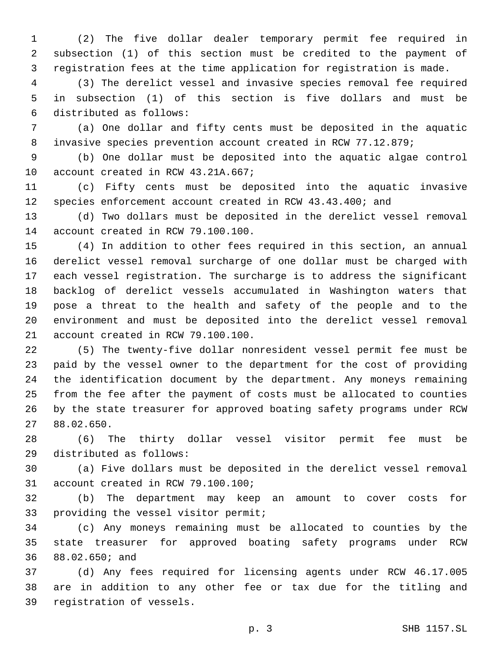(2) The five dollar dealer temporary permit fee required in subsection (1) of this section must be credited to the payment of registration fees at the time application for registration is made.

 (3) The derelict vessel and invasive species removal fee required in subsection (1) of this section is five dollars and must be 6 distributed as follows:

 (a) One dollar and fifty cents must be deposited in the aquatic invasive species prevention account created in RCW 77.12.879;

 (b) One dollar must be deposited into the aquatic algae control 10 account created in RCW 43.21A.667;

 (c) Fifty cents must be deposited into the aquatic invasive species enforcement account created in RCW 43.43.400; and

 (d) Two dollars must be deposited in the derelict vessel removal 14 account created in RCW 79.100.100.

 (4) In addition to other fees required in this section, an annual derelict vessel removal surcharge of one dollar must be charged with each vessel registration. The surcharge is to address the significant backlog of derelict vessels accumulated in Washington waters that pose a threat to the health and safety of the people and to the environment and must be deposited into the derelict vessel removal 21 account created in RCW 79.100.100.

 (5) The twenty-five dollar nonresident vessel permit fee must be paid by the vessel owner to the department for the cost of providing the identification document by the department. Any moneys remaining from the fee after the payment of costs must be allocated to counties by the state treasurer for approved boating safety programs under RCW 88.02.650.27

 (6) The thirty dollar vessel visitor permit fee must be 29 distributed as follows:

 (a) Five dollars must be deposited in the derelict vessel removal 31 account created in RCW 79.100.100;

 (b) The department may keep an amount to cover costs for 33 providing the vessel visitor permit;

 (c) Any moneys remaining must be allocated to counties by the state treasurer for approved boating safety programs under RCW 36 88.02.650; and

 (d) Any fees required for licensing agents under RCW 46.17.005 are in addition to any other fee or tax due for the titling and 39 registration of vessels.